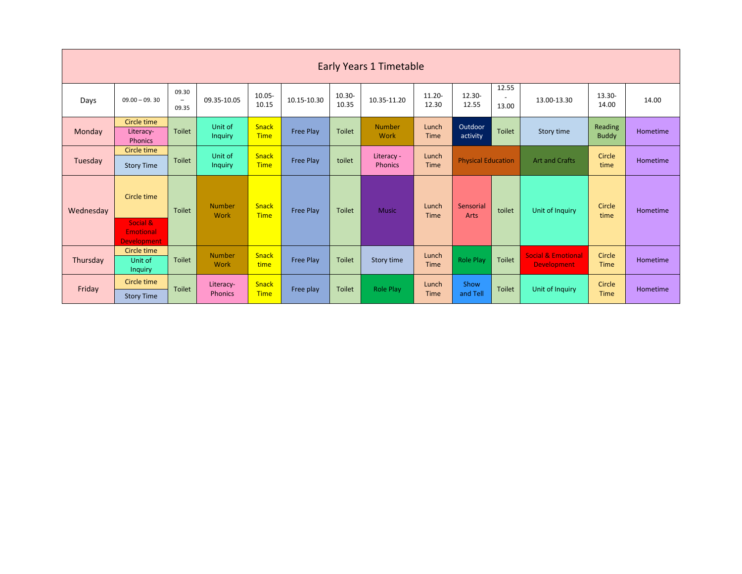| <b>Early Years 1 Timetable</b> |                                                    |                                            |                           |                             |                  |                 |                              |                      |                           |                                            |                                                     |                         |                 |
|--------------------------------|----------------------------------------------------|--------------------------------------------|---------------------------|-----------------------------|------------------|-----------------|------------------------------|----------------------|---------------------------|--------------------------------------------|-----------------------------------------------------|-------------------------|-----------------|
| Days                           | $09.00 - 09.30$                                    | 09.30<br>$\overline{\phantom{a}}$<br>09.35 | 09.35-10.05               | 10.05-<br>10.15             | 10.15-10.30      | 10.30-<br>10.35 | 10.35-11.20                  | 11.20-<br>12.30      | 12.30-<br>12.55           | 12.55<br>$\overline{\phantom{a}}$<br>13.00 | 13.00-13.30                                         | 13.30-<br>14.00         | 14.00           |
| Monday                         | Circle time<br>Literacy-<br><b>Phonics</b>         | <b>Toilet</b>                              | Unit of<br><b>Inquiry</b> | <b>Snack</b><br><b>Time</b> | <b>Free Play</b> | <b>Toilet</b>   | <b>Number</b><br>Work        | Lunch<br><b>Time</b> | Outdoor<br>activity       | <b>Toilet</b>                              | Story time                                          | Reading<br><b>Buddy</b> | <b>Hometime</b> |
| Tuesday                        | Circle time<br><b>Story Time</b>                   | <b>Toilet</b>                              | Unit of<br><b>Inquiry</b> | <b>Snack</b><br><b>Time</b> | <b>Free Play</b> | toilet          | Literacy -<br><b>Phonics</b> | Lunch<br>Time        | <b>Physical Education</b> |                                            | <b>Art and Crafts</b>                               | Circle<br>time          | <b>Hometime</b> |
| Wednesday                      | Circle time                                        | <b>Toilet</b>                              | <b>Number</b><br>Work     | <b>Snack</b><br><b>Time</b> | <b>Free Play</b> | <b>Toilet</b>   | <b>Music</b>                 | Lunch<br>Time        | Sensorial<br>Arts         | toilet                                     | Unit of Inquiry                                     | Circle<br>time          | Hometime        |
|                                | Social &<br><b>Emotional</b><br><b>Development</b> |                                            |                           |                             |                  |                 |                              |                      |                           |                                            |                                                     |                         |                 |
| Thursday                       | Circle time<br>Unit of<br>Inquiry                  | Toilet                                     | <b>Number</b><br>Work     | <b>Snack</b><br>time        | <b>Free Play</b> | <b>Toilet</b>   | Story time                   | Lunch<br><b>Time</b> | Role Play                 | <b>Toilet</b>                              | <b>Social &amp; Emotional</b><br><b>Development</b> | Circle<br><b>Time</b>   | Hometime        |
| Friday                         | Circle time<br><b>Story Time</b>                   | <b>Toilet</b>                              | Literacy-<br>Phonics      | <b>Snack</b><br><b>Time</b> | Free play        | <b>Toilet</b>   | Role Play                    | Lunch<br>Time        | Show<br>and Tell          | <b>Toilet</b>                              | Unit of Inquiry                                     | Circle<br><b>Time</b>   | Hometime        |